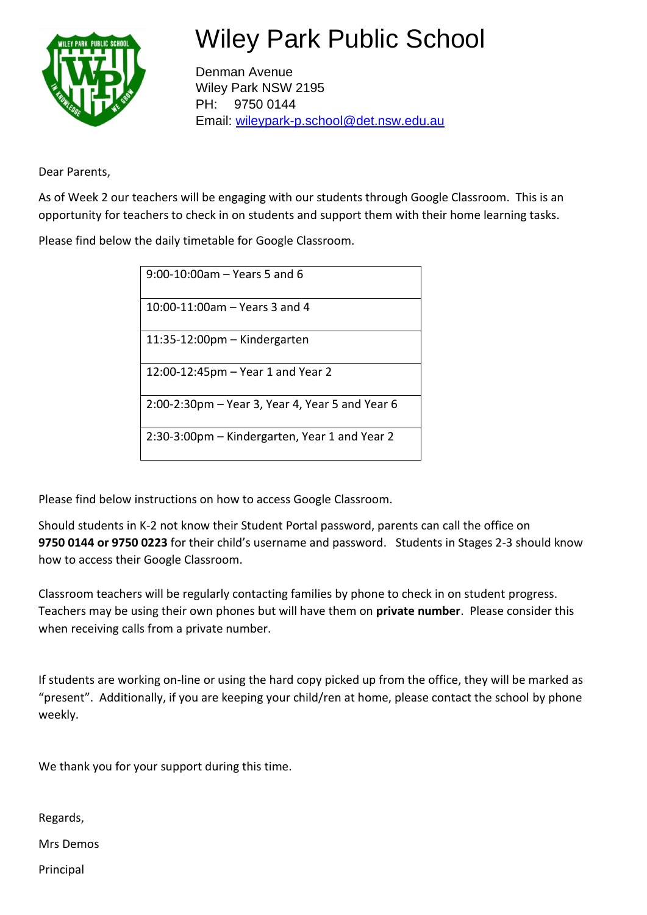

## Wiley Park Public School

Denman Avenue Wiley Park NSW 2195 PH: 9750 0144 Email: [wileypark-p.school@det.nsw.edu.au](mailto:wileypark-p.school@det.nsw.edu.au)

Dear Parents,

As of Week 2 our teachers will be engaging with our students through Google Classroom. This is an opportunity for teachers to check in on students and support them with their home learning tasks.

Please find below the daily timetable for Google Classroom.

| 9:00-10:00am - Years 5 and 6                    |  |  |
|-------------------------------------------------|--|--|
| 10:00-11:00am - Years 3 and 4                   |  |  |
| $11:35-12:00$ pm – Kindergarten                 |  |  |
| 12:00-12:45pm – Year 1 and Year 2               |  |  |
| 2:00-2:30pm – Year 3, Year 4, Year 5 and Year 6 |  |  |
| 2:30-3:00pm – Kindergarten, Year 1 and Year 2   |  |  |

Please find below instructions on how to access Google Classroom.

Should students in K-2 not know their Student Portal password, parents can call the office on **9750 0144 or 9750 0223** for their child's username and password. Students in Stages 2-3 should know how to access their Google Classroom.

Classroom teachers will be regularly contacting families by phone to check in on student progress. Teachers may be using their own phones but will have them on **private number**. Please consider this when receiving calls from a private number.

If students are working on-line or using the hard copy picked up from the office, they will be marked as "present". Additionally, if you are keeping your child/ren at home, please contact the school by phone weekly.

We thank you for your support during this time.

Regards,

Mrs Demos

Principal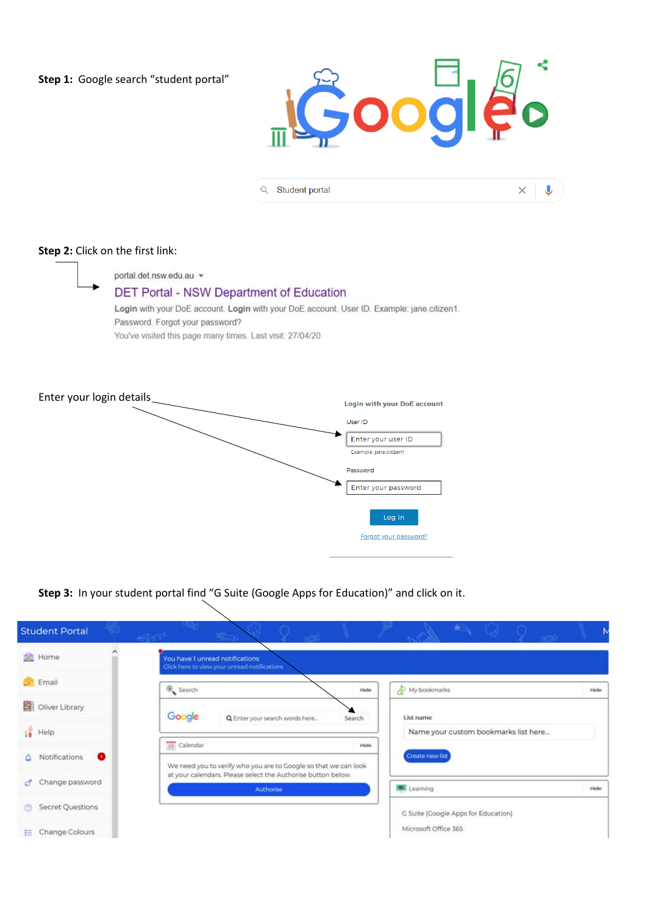**Step 1:** Google search "student portal"



 $\times$   $\downarrow$ 

Q Student portal

## **Step 2:** Click on the first link:

portal.det.nsw.edu.au v DET Portal - NSW Department of Education Login with your DoE account. Login with your DoE account. User ID. Example: jane.citizen1. Password. Forgot your password? You've visited this page many times. Last visit: 27/04/20

Enter your login details **Login with your DoE account** User ID Enter your user ID Example: jane.citizen1 Password Enter your password Log in Forgot your password?

**Step 3:** In your student portal find "G Suite (Google Apps for Education)" and click on it.

| <b>Student Portal</b><br>13     | <b>Alliance</b><br>$-350$<br><b>Seconds</b>                                     | $\lambda = \sqrt{2}$                         |
|---------------------------------|---------------------------------------------------------------------------------|----------------------------------------------|
| <b>St</b> Home                  | You have 1 unread notifications<br>Click here to view your unread notifications |                                              |
| . Email                         | Search                                                                          | My bookmarks<br>Hide<br>Hide                 |
| 븳<br>Oliver Library             | Google<br>Q Enter your search words here                                        | List name<br>Search                          |
| Help                            | 25 Calendar                                                                     | Name your custom bookmarks list here<br>Hide |
| $\bullet$<br>Notifications<br>≏ | We need you to verify who you are to Google so that we can look                 | Create new list                              |
| Change password<br>c9.          | at your calendars. Please select the Authorise button below.<br>Authorise       | Learning<br>Hide                             |
| Secret Questions<br>$\circ$     |                                                                                 | G Suite (Google Apps for Education)          |
| Change Colours<br>臣             |                                                                                 | Microsoft Office 365                         |